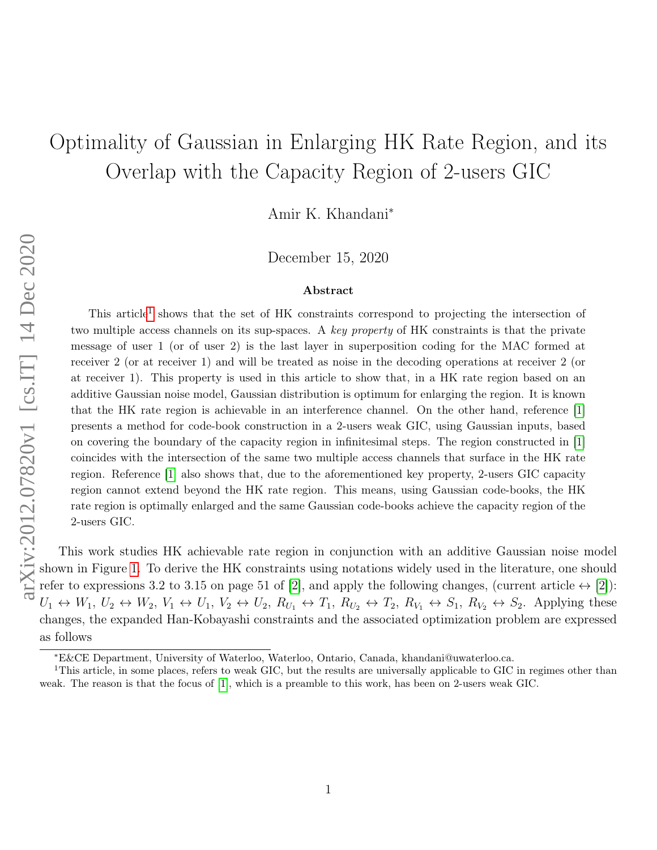## Optimality of Gaussian in Enlarging HK Rate Region, and its Overlap with the Capacity Region of 2-users GIC

Amir K. Khandani<sup>∗</sup>

December 15, 2020

## Abstract

This article<sup>[1](#page-0-0)</sup> shows that the set of HK constraints correspond to projecting the intersection of two multiple access channels on its sup-spaces. A key property of HK constraints is that the private message of user 1 (or of user 2) is the last layer in superposition coding for the MAC formed at receiver 2 (or at receiver 1) and will be treated as noise in the decoding operations at receiver 2 (or at receiver 1). This property is used in this article to show that, in a HK rate region based on an additive Gaussian noise model, Gaussian distribution is optimum for enlarging the region. It is known that the HK rate region is achievable in an interference channel. On the other hand, reference [\[1\]](#page-3-0) presents a method for code-book construction in a 2-users weak GIC, using Gaussian inputs, based on covering the boundary of the capacity region in infinitesimal steps. The region constructed in [\[1\]](#page-3-0) coincides with the intersection of the same two multiple access channels that surface in the HK rate region. Reference [\[1\]](#page-3-0) also shows that, due to the aforementioned key property, 2-users GIC capacity region cannot extend beyond the HK rate region. This means, using Gaussian code-books, the HK rate region is optimally enlarged and the same Gaussian code-books achieve the capacity region of the 2-users GIC.

This work studies HK achievable rate region in conjunction with an additive Gaussian noise model shown in Figure [1.](#page-1-0) To derive the HK constraints using notations widely used in the literature, one should refer to expressions 3.2 to 3.15 on page 51 of [\[2\]](#page-3-1), and apply the following changes, (current article  $\leftrightarrow$  [2]):  $U_1 \leftrightarrow W_1, U_2 \leftrightarrow W_2, V_1 \leftrightarrow U_1, V_2 \leftrightarrow U_2, R_{U_1} \leftrightarrow T_1, R_{U_2} \leftrightarrow T_2, R_{V_1} \leftrightarrow S_1, R_{V_2} \leftrightarrow S_2$ . Applying these changes, the expanded Han-Kobayashi constraints and the associated optimization problem are expressed as follows

<span id="page-0-0"></span><sup>∗</sup>E&CE Department, University of Waterloo, Waterloo, Ontario, Canada, khandani@uwaterloo.ca.

<sup>1</sup>This article, in some places, refers to weak GIC, but the results are universally applicable to GIC in regimes other than weak. The reason is that the focus of [\[1\]](#page-3-0), which is a preamble to this work, has been on 2-users weak GIC.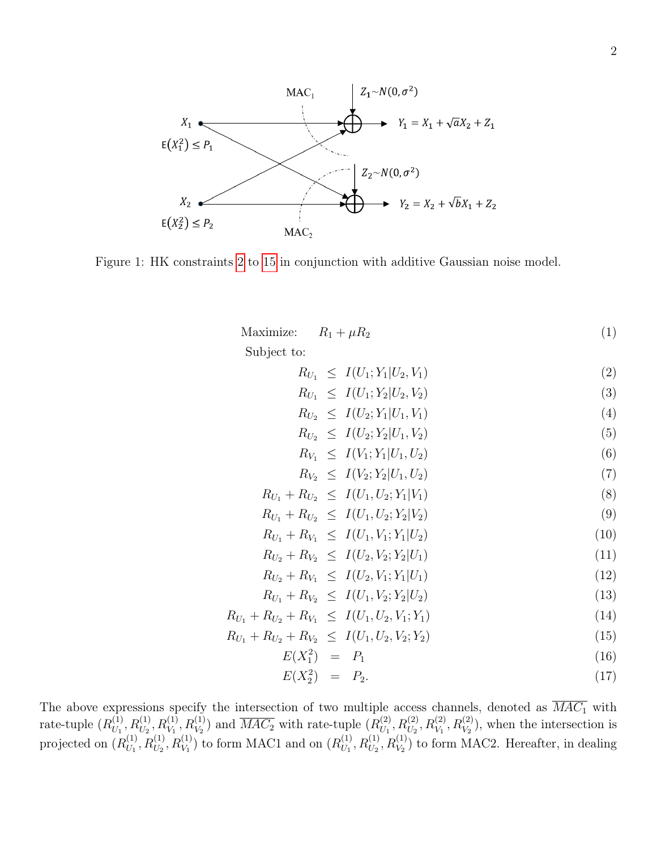<span id="page-1-0"></span>

Figure 1: HK constraints [2](#page-1-1) to [15](#page-1-2) in conjunction with additive Gaussian noise model.

| Maximize: $R_1 + \mu R_2$ |  |  |
|---------------------------|--|--|
| $\sim$ $\sim$ $\sim$      |  |  |

Subject to:

$$
R_{U_1} \leq I(U_1; Y_1 | U_2, V_1) \tag{2}
$$

<span id="page-1-1"></span>
$$
R_{U_1} \leq I(U_1; Y_2 | U_2, V_2) \tag{3}
$$

$$
R_{U_2} \leq I(U_2; Y_1 | U_1, V_1) \tag{4}
$$

$$
R_{U_2} \leq I(U_2; Y_2 | U_1, V_2) \tag{5}
$$

$$
R_{V_1} \leq I(V_1; Y_1 | U_1, U_2) \tag{6}
$$

<span id="page-1-4"></span>
$$
R_{V_2} \leq I(V_2; Y_2 | U_1, U_2) \tag{7}
$$

$$
R_{U_1} + R_{U_2} \leq I(U_1, U_2; Y_1 | V_1) \tag{8}
$$

$$
R_{U_1} + R_{U_2} \leq I(U_1, U_2; Y_2 | V_2)
$$
\n<sup>(9)</sup>

$$
R_{U_1} + R_{V_1} \leq I(U_1, V_1; Y_1 | U_2) \tag{10}
$$

$$
R_{U_2} + R_{V_2} \leq I(U_2, V_2; Y_2 | U_1)
$$
\n
$$
R_{U_1} + R_{V_2} < I(U_2, V_1; Y_1 | U_1) \tag{12}
$$

$$
I_{U_2} + I_{U_1} \leq I(U_2, V_1, I_1 | U_1)
$$
\n
$$
D + D \leq I(I_1 | V_1, V_1 | I_1)
$$
\n(12)

$$
R_{U_1} + R_{V_2} \leq I(U_1, V_2; Y_2 | U_2) \tag{13}
$$

$$
R_{U_1} + R_{U_2} + R_{V_1} \leq I(U_1, U_2, V_1; Y_1)
$$
\n<sup>(14)</sup>

$$
R_{U_1} + R_{U_2} + R_{V_2} \leq I(U_1, U_2, V_2; Y_2)
$$
\n<sup>(15)</sup>

<span id="page-1-5"></span><span id="page-1-3"></span><span id="page-1-2"></span>
$$
E(X_1^2) = P_1 \tag{16}
$$

$$
E(X_2^2) = P_2. \t\t(17)
$$

The above expressions specify the intersection of two multiple access channels, denoted as  $MAC<sub>1</sub>$  with rate-tuple  $(R_{U_1}^{(1)})$  $U_{U_1}^{(1)}, R_{U_2}^{(1)}, R_{V_1}^{(1)}, R_{V_2}^{(1)}$  and  $\overline{MAC_2}$  with rate-tuple  $(R_{U_1}^{(2)})$  $U_1^{(2)}, R_{U_2}^{(2)}, R_{V_1}^{(2)}, R_{V_2}^{(2)}$ , when the intersection is projected on  $(R_{U_1}^{(1)})$  $U_1^{(1)}, R_{U_2}^{(1)}, R_{V_1}^{(1)}$  to form MAC1 and on  $(R_{U_1}^{(1)})$  $U_{U_1}^{(1)}, R_{U_2}^{(1)}, R_{V_2}^{(1)}$  to form MAC2. Hereafter, in dealing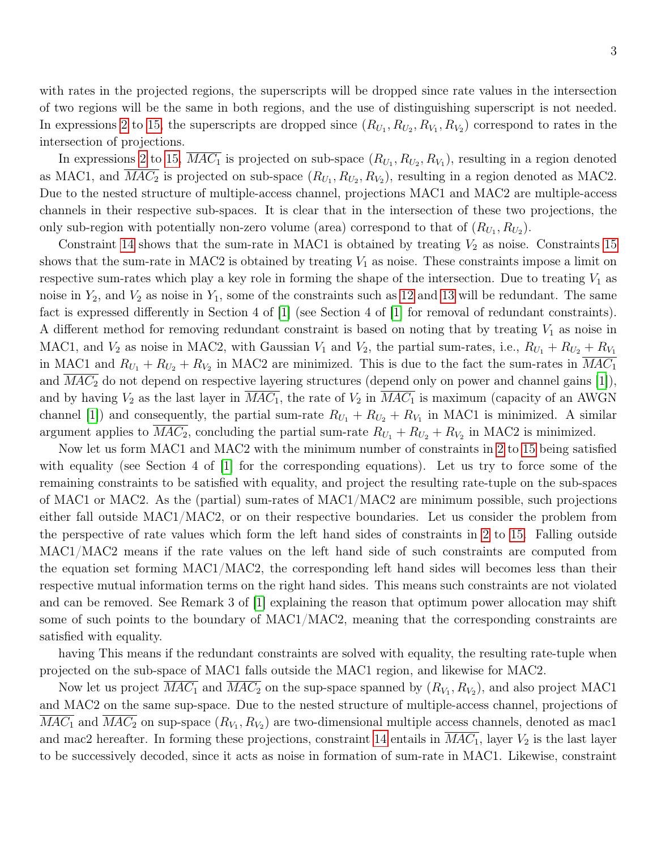with rates in the projected regions, the superscripts will be dropped since rate values in the intersection of two regions will be the same in both regions, and the use of distinguishing superscript is not needed. In expressions [2](#page-1-1) to [15,](#page-1-2) the superscripts are dropped since  $(R_{U_1}, R_{U_2}, R_{V_1}, R_{V_2})$  correspond to rates in the intersection of projections.

In expressions [2](#page-1-1) to [15,](#page-1-2)  $MAC_1$  is projected on sub-space  $(R_{U_1}, R_{U_2}, R_{V_1})$ , resulting in a region denoted as MAC1, and  $\overline{MAC_2}$  is projected on sub-space  $(R_{U_1}, R_{U_2}, R_{V_2})$ , resulting in a region denoted as MAC2. Due to the nested structure of multiple-access channel, projections MAC1 and MAC2 are multiple-access channels in their respective sub-spaces. It is clear that in the intersection of these two projections, the only sub-region with potentially non-zero volume (area) correspond to that of  $(R_{U_1}, R_{U_2})$ .

Constraint [14](#page-1-3) shows that the sum-rate in MAC1 is obtained by treating  $V_2$  as noise. Constraints [15](#page-1-2) shows that the sum-rate in MAC2 is obtained by treating  $V_1$  as noise. These constraints impose a limit on respective sum-rates which play a key role in forming the shape of the intersection. Due to treating  $V_1$  as noise in  $Y_2$ , and  $V_2$  as noise in  $Y_1$ , some of the constraints such as [12](#page-1-4) and [13](#page-1-5) will be redundant. The same fact is expressed differently in Section 4 of [\[1\]](#page-3-0) (see Section 4 of [\[1\]](#page-3-0) for removal of redundant constraints). A different method for removing redundant constraint is based on noting that by treating  $V_1$  as noise in MAC1, and  $V_2$  as noise in MAC2, with Gaussian  $V_1$  and  $V_2$ , the partial sum-rates, i.e.,  $R_{U_1} + R_{U_2} + R_{V_1}$ in MAC1 and  $R_{U_1} + R_{U_2} + R_{V_2}$  in MAC2 are minimized. This is due to the fact the sum-rates in  $MAC_1$ and  $MAC<sub>2</sub>$  do not depend on respective layering structures (depend only on power and channel gains [\[1\]](#page-3-0)), and by having  $V_2$  as the last layer in  $\overline{MAC_1}$ , the rate of  $V_2$  in  $\overline{MAC_1}$  is maximum (capacity of an AWGN channel [\[1\]](#page-3-0)) and consequently, the partial sum-rate  $R_{U_1} + R_{U_2} + R_{V_1}$  in MAC1 is minimized. A similar argument applies to  $MAC_2$ , concluding the partial sum-rate  $R_{U_1} + R_{U_2} + R_{V_2}$  in MAC2 is minimized.

Now let us form MAC1 and MAC2 with the minimum number of constraints in [2](#page-1-1) to [15](#page-1-2) being satisfied with equality (see Section 4 of [\[1\]](#page-3-0) for the corresponding equations). Let us try to force some of the remaining constraints to be satisfied with equality, and project the resulting rate-tuple on the sub-spaces of MAC1 or MAC2. As the (partial) sum-rates of MAC1/MAC2 are minimum possible, such projections either fall outside MAC1/MAC2, or on their respective boundaries. Let us consider the problem from the perspective of rate values which form the left hand sides of constraints in [2](#page-1-1) to [15.](#page-1-2) Falling outside MAC1/MAC2 means if the rate values on the left hand side of such constraints are computed from the equation set forming MAC1/MAC2, the corresponding left hand sides will becomes less than their respective mutual information terms on the right hand sides. This means such constraints are not violated and can be removed. See Remark 3 of [\[1\]](#page-3-0) explaining the reason that optimum power allocation may shift some of such points to the boundary of MAC1/MAC2, meaning that the corresponding constraints are satisfied with equality.

having This means if the redundant constraints are solved with equality, the resulting rate-tuple when projected on the sub-space of MAC1 falls outside the MAC1 region, and likewise for MAC2.

Now let us project  $MAC_1$  and  $MAC_2$  on the sup-space spanned by  $(R_{V_1}, R_{V_2})$ , and also project MAC1 and MAC2 on the same sup-space. Due to the nested structure of multiple-access channel, projections of  $MAC_1$  and  $MAC_2$  on sup-space  $(R_{V_1}, R_{V_2})$  are two-dimensional multiple access channels, denoted as mac1 and mac2 hereafter. In forming these projections, constraint [14](#page-1-3) entails in  $\overline{MAC_1}$ , layer  $V_2$  is the last layer to be successively decoded, since it acts as noise in formation of sum-rate in MAC1. Likewise, constraint